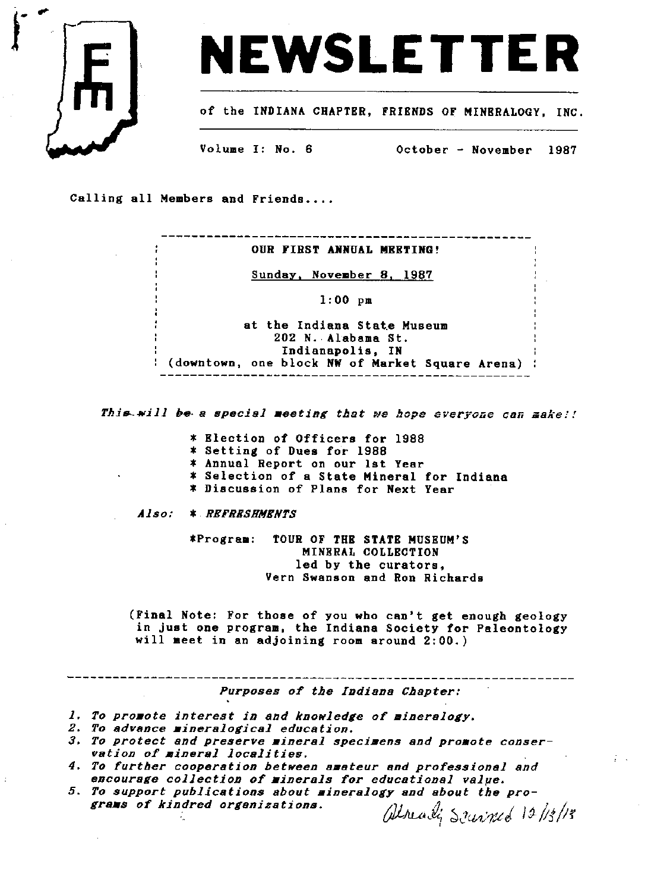



of the INDIANA CHAPTER, FRIENDS OF MINERALOGY. INC.

Volume I: No. 6

October - November 1987

Calling all Members and Friends....

\_\_\_\_\_\_\_\_\_\_\_\_\_\_\_\_\_\_\_\_\_\_\_\_\_\_\_\_\_\_\_\_\_\_\_ OUR FIRST ANNUAL MEETING! Sunday, November 8, 1987  $1:00$  pm at the Indiana State Museum 202 N. Alabama St. Indianapolis, IN : (downtown, one block NW of Market Square Arena) :

This will be a special meeting that we hope everyone can make!!

\* Election of Officers for 1988

\* Setting of Dues for 1988

\* Annual Report on our lst Year

\* Selection of a State Mineral for Indiana

\* Discussion of Plans for Next Year

*Also:* \* REFRESHMENTS

> TOUR OF THE STATE MUSEUM'S \*Program: MINERAL COLLECTION led by the curators. Vern Swanson and Ron Richards

(Final Note: For those of you who can't get enough geology in just one program, the Indiana Society for Paleontology will meet in an adjoining room around 2:00.)

Purposes of the Indiana Chapter:

1. To promote interest in and knowledge of mineralogy.

- 2. To advance mineralogical education.
- 3. To protect and preserve mineral specimens and promote conservation of mineral localities.
- 4. To further cooperation between amateur and professional and encourage collection of minerals for educational value.
- 5. To support publications about mineralogy and about the programs of kindred organizations. alreadi Scuriped 12/13/13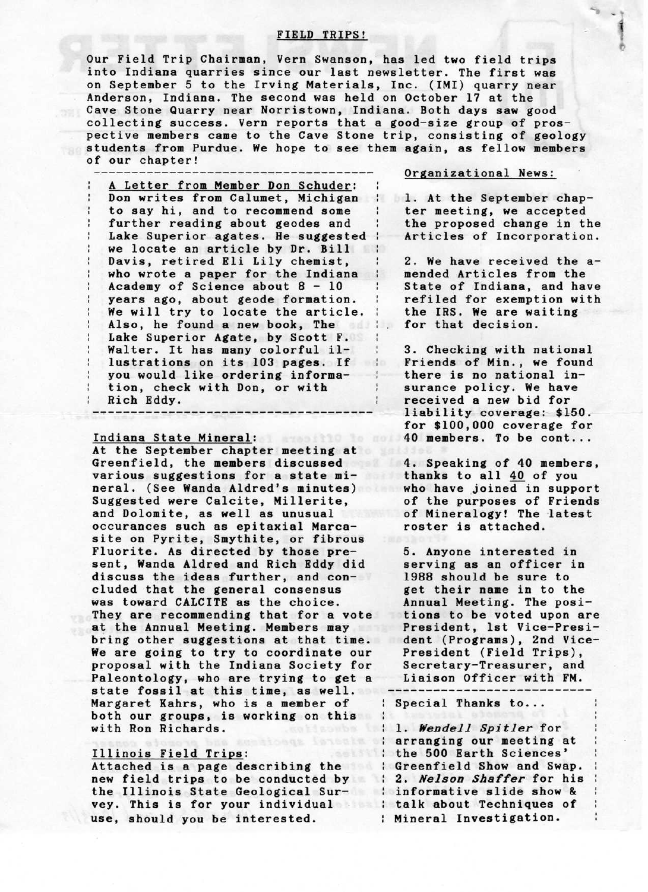## FIELD TRIPS!

Our Field Trip Chairman, Vern Swanson, has led two field trips into Indiana quarries since our last newsletter. The first was on September 5 to the Irving Materials, Inc. (IMI) quarry near Anderson, Indiana. The second was held on October 17 at the Cave Stone Quarry near Norristown, Indiana. Both days saw good collecting success. Vern reports that a good-size group of prospective members came to the Cave Stone trip, consisting of geology students from Purdue. We hope to see them again, as fellow members of our chapter!

A Letter from Member Don Schuder: Don writes from Calumet, Michigan : to say hi, and to recommend some further reading about geodes and Lake Superior agates. He suggested : we locate an article by Dr. Bill Davis, retired Eli Lily chemist, who wrote a paper for the Indiana Academy of Science about 8 - 10 years ago, about geode formation. We will try to locate the article. Also, he found a new book, The Lake Superior Agate, by Scott F. Walter. It has many colorful illustrations on its 103 pages. If you would like ordering information, check with Don, or with Rich Eddy. -------------------------------------

### Indiana State Mineral: Website Mineral:

At the September chapter meeting at Green field, the members discussed various suggestions for a state mineral. (See Wanda Aldred's minutes) Suggested were Calcite, Millerite, and Dolomite, as well as unusual occurances such as epitaxial Marcasite on Pyrite, Smythite, or fibrous Fluorite. As directed by those present, Wanda Aldred and Rich Eddy did discuss the ideas further, and concluded that the general consensus was toward CALCITE as the choice. They are recommending that for a vote at the Annual Meeting. Members may bring other suggestions at that time. We are going to try to coordinate our proposal with the Indiana Society for Paleontology, who are trying to get a state fossil at this time, as well. Margaret Kahrs, who is a member of both our groups, is working on this :<br>with Ron Richards. with Ron Richards.

#### Illinois Field Trips:

new field trips to be conducted by : 2. Nelson Shaffer for his the Illinois State Geological Sur-informative slide show & vey. This is for your individual : talk about Techniques of use, should you be interested.

#### Organizational News:

1. At the September chapter meeting, we accepted the proposed change in the Articles of Incorporation.

-.  $\ddot{\phantom{0}}$ 

> £ ae

2. We have received the amended Articles from the State of Indiana, and have refiled for exemption with the IRS. We are waiting for that decision.

3. Checking with national Friends of Min., we found there is no national insurance policy. We have received a new bid for liability coverage: \$150. for \$100,000 coverage for 40 members. To be cont...

4. Speaking of 40 members, thanks to all 40 of you who have joined in support of the purposes of Friends of Mineralogy! The latest roster is attached.

5. Anyone interested in serving as an officer in 1988 should be sure to get their name in to the Annual Meeting. The positions to be voted upon are President, 1st Vice-President (Programs), 2nd Vice-President (Field Trips), Secretary-Treasurer, and Liaison Officer with FM.

Special Thanks to...

Attached is a page describing the Greenfield Show and Swap. | 1. Wendell Spitler for arranging our meeting at the 500 Earth Sciences' Mineral Investigation.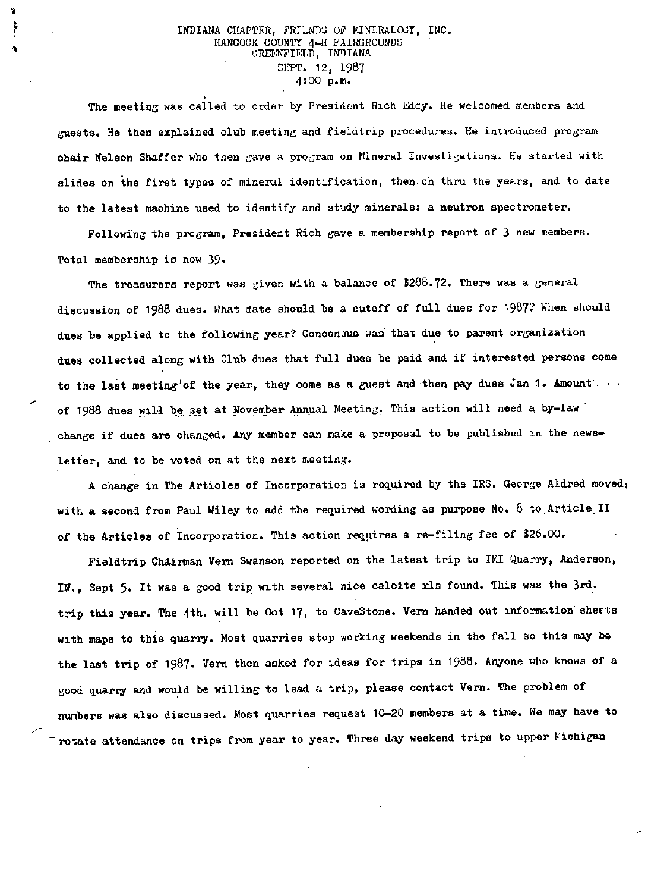## INDIANA CHAPTER, FRIENDS OF MINERALOCY, INC. HANCOCK COUNTY 4-H FAIRGROUNDS GREENFIELD, INDIANA SEPT. 12, 1987 4:00 p.in.

The meeting was called to order by President Rich Eddy. He welcomed members and guests. He then explained club meeting and fieldtrip procedures. He introduced program chair Nelson Shaffer who then gave a program on Mineral Investigations. He started with slides on the first types of mineral identification, then on thru the years, and to date to the latest machine used to identify and study minerals: a neutron spectrometer.

Following the program, President Rich gave a membership report of 3 new members. Total membership is now 39.

The treasurers report was given with a balance of  $3288.72$ . There was a general discussion of 1988 dues. What date should be a cutoff of full dues for 1987? When should dues be applied to the following year? Concensus was that due to parent organization dues collected along with Club dues that full dues be paid and if interested persons come to the last meeting'of the year, they come as a guest and then pay dues Jan 1. Amount. of 1988 dues will be set at November Annual Meeting. This action will need a by-law change if dues are changed. Any member can make a proposal to be published in the newsletter, and to be voted on at the next meeting.

A change in The Articles of Incorporation is required by the IRS. George Aldred moved, with a second from Paul Wiley to add the required wording as purpose No. 8 to Article II of the Articles of Incorporation. This action requires a re-filing fee of \$26.00.

Fieldtrip Chairman Vern Swanson reported on the latest trip to IMI Quarry, Anderson, IN., Sept 5. It was a good trip with several nice calcite xls found. This was the 3rd. trip this year. The 4th. will be Oct 17, to CaveStone. Verm handed out information sheets with maps to this quarry. Most quarries stop working weekends in the fall so this may be the last trip of 1987. Vern then asked for ideas for trips in 1988. Anyone who knows of a good quarry and would be willing to lead a trip, please contact Vern. The problem of numbers was also discussed. Most quarries request 10-20 members at a time. We may have to rotate attendance on trips from year to year. Three day weekend trips to upper Eichigan

ъ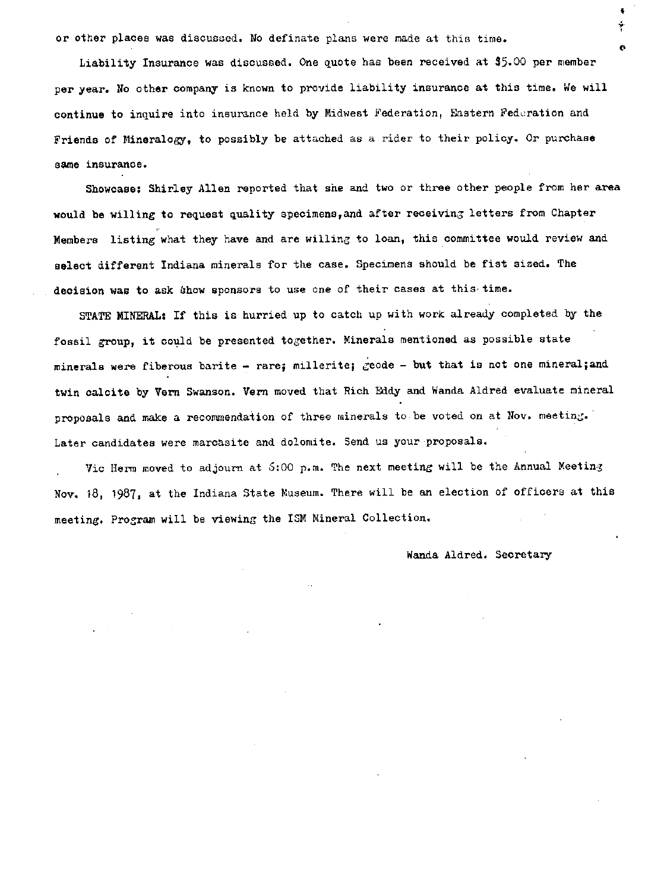or other places was discussed. No definate plans were made at this time.

Liability Insurance was discussed. One quote has been received at \$5.00 per member per year. No other company is known to provide liability insurance at this time. We will continue to inquire into insurance held by Midwest Federation, Eastern Federation and Friends of Mineralogy, to possibly be attached as a rider to their policy. Or purchase same insurance.

Showcase: Shirley Allen reported that she and two or three other people from her area would be willing to request quality specimens,and after receiving letters from Chapter Members listing what they have and are willing to loan, this committee would review and select different Indiana minerals for the case. Specimens should be fist sized. The decision was to ask show sponsors to use one of their cases at this time.

STATE MINERAL: If this is hurried up to catch up with work already completed by the fossil group, it could be presented together. Minerals mentioned as possible state minerals were fiberous barite - rare; millerite; geode - but that is not one mineral; and twin calcite by Vern Swanson. Vern moved that Rich Eddy and Wanda Aldred evaluate mineral proposals and make a recommendation of three minerals to be voted on at Nov. meeting. Later candidates were marcasite and dolomite. Send us your proposals.

Vic Herm moved to adjourn at 5:00 p.m. The next meeting will be the Annual Meeting Nov. 18, 1987, at the Indiana State Niuseum. There will be an election of officers at this meeting. Program will be viewing the ISM Mineral Collection.

Wanda Aldred. Secretary

 $\ddot{\bullet}$ ÷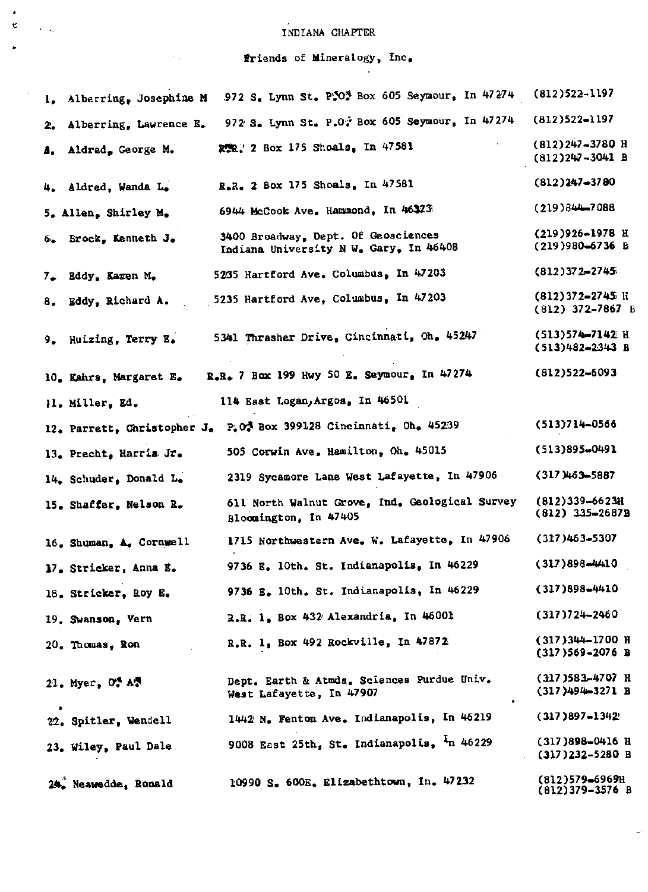# INDIANA CHAPTER

 $\begin{array}{c} 4 \ \hline 6 \ \hline 1 \ \hline \end{array}$ 

 $\sim$   $\sim$ 

 $\ddot{\phantom{a}}$ 

 $\hat{\mathcal{C}}_{\text{max}}$ 

 $\langle \sigma_{\rm{eff}} \rangle$ 

Friends of Mineralogy, Inc.

| 1. Alberring, Josephine M               | 972 S. Lynn St. P.0. Box 605 Seymour, In 47274                                | $(812)522 - 1197$                          |
|-----------------------------------------|-------------------------------------------------------------------------------|--------------------------------------------|
| Alberring, Lawrence B.<br>$z_{\bullet}$ | 972 S. Lynn St. P.O. Box 605 Seymour, In 47274                                | $(812)522 - 1197$                          |
| Aldred, George M.<br>Δ,                 | RER.' 2 Box 175 Shoals, In 47581                                              | (812)247-3780 H<br>$(812)247 - 3041$ B     |
| 4. Aldred, Wanda L.                     | R.R. 2 Box 175 Shoals, In 47581                                               | $(812)247 - 3780$                          |
| 5. Allen, Shirley M.                    | 6944 McCook Ave. Hammond, In 46323                                            | $(219)844 - 7088$                          |
| 6. Brock, Kenneth J.                    | 3400 Broadway, Dept. Of Geosciences<br>Indiana University N W. Gary, In 46408 | (219)926-1978 Н<br>$(219)980-6736$ B       |
| 7. Eddy, Karen M.                       | 5235 Hartford Ave. Columbus, In 47203                                         | $(812)372 - 2745$                          |
| 8. Eddy, Richard A.                     | 5235 Hartford Ave, Columbus, In 47203                                         | (812)372-2745 H<br>$(812) 372 - 7867 B$    |
| 9. Huizing, Terry E.                    | 5341 Thrasher Drive, Cincinnati, Oh. 45247                                    | (513)574-7142 H<br>$(513)482 - 2343$ B     |
| 10. Kahrs, Margaret E.                  | $R_*R_*$ 7 Box 199 Hwy 50 E. Seymour, In 47274                                | $(812)522 - 6093$                          |
| Il. Miller, Ed.                         | 114 East Logan, Argos, In 46501                                               |                                            |
| 12. Parrett, Christopher J.             | $P20$ Box 399128 Cincinnati, Oh. 45239                                        | $(513)714 - 0566$                          |
| 13. Precht, Harris Jr.                  | 505 Corwin Ave. Hamilton, Oh. 45015                                           | (513)895-0491                              |
| 14. Schuder, Donald L.                  | 2319 Sycamore Lane West Lafayette, In 47906                                   | (317)463-5887                              |
| 15. Shaffer, Nelson R.                  | 611 North Walnut Grove, Ind. Geological Survey<br>Bloomington, In 47405       | $(812)339 - 6623H$<br>$(812)$ 335-2687B    |
| 16. Shuman, A. Cornwell                 | 1715 Northwestern Ave. W. Lafayette, In 47906                                 | $(317)463 - 5307$                          |
| 17. Stricker, Anna E.                   | 9736 E. 10th. St. Indianapolis. In 46229                                      | $(317)898 - 4410$                          |
| 18. Stricker, Roy E.                    | 9736 E. 10th. St. Indianapolis, In 46229                                      | $(317)898 - 4410$                          |
| 19. Swanson, Vern                       | R.R. 1, Box 432 Alexandria, In 46001                                          | $(317)724 - 2460$                          |
| 20. Thomas, Ron                         | R.R. 1, Box 492 Rockville, In 47872                                           | (317)344-1700 Н<br>$(317)569 - 2076$ B     |
| 21. Myer, $O^A$ $\Lambda^B$             | Dept. Earth & Atmds. Sciences Purdue Univ.<br>West Lafayette, In 47907        | $(317)$ 583-4707 R<br>$(317)494 - 3271$ B  |
| 22. Spitler, Wendell                    | 1442 N. Fenton Ave. Indianapolis, In 46219                                    | $(317)897 - 1342$                          |
| 23. Wiley, Paul Dale                    | 9008 East 25th, St. Indianapolis, <sup>1</sup> n 46229                        | $(317)898 - 0416$ H<br>$(317)232 - 5280$ B |
| 24. Neawedde, Ronald                    | 10990 S. 600E. Elizabethtown, In. 47232                                       | $(812)579 - 6969H$<br>$(812)379 - 3576$ B  |

 $\bar{z}$ 

 $\rightarrow$